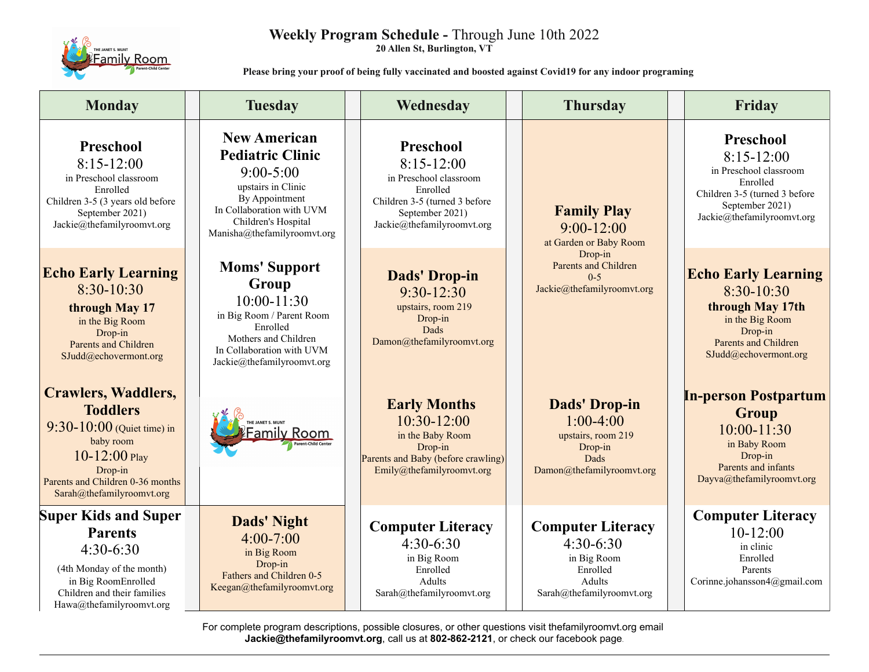

# **Weekly Program Schedule -** Through June 10th 2022

**20 Allen St, Burlington, VT**

 **Please bring your proof of being fully vaccinated and boosted against Covid19 for any indoor programing**

| <b>Monday</b>                                                                                                                                                                                 | <b>Tuesday</b>                                                                                                                                                                             | Wednesday                                                                                                                                         | <b>Thursday</b>                                                                                                                            | Friday                                                                                                                                            |
|-----------------------------------------------------------------------------------------------------------------------------------------------------------------------------------------------|--------------------------------------------------------------------------------------------------------------------------------------------------------------------------------------------|---------------------------------------------------------------------------------------------------------------------------------------------------|--------------------------------------------------------------------------------------------------------------------------------------------|---------------------------------------------------------------------------------------------------------------------------------------------------|
| Preschool<br>$8:15-12:00$<br>in Preschool classroom<br>Enrolled<br>Children 3-5 (3 years old before<br>September 2021)<br>Jackie@thefamilyroomvt.org                                          | <b>New American</b><br><b>Pediatric Clinic</b><br>$9:00 - 5:00$<br>upstairs in Clinic<br>By Appointment<br>In Collaboration with UVM<br>Children's Hospital<br>Manisha@thefamilyroomvt.org | Preschool<br>$8:15-12:00$<br>in Preschool classroom<br>Enrolled<br>Children 3-5 (turned 3 before<br>September 2021)<br>Jackie@thefamilyroomvt.org | <b>Family Play</b><br>$9:00 - 12:00$<br>at Garden or Baby Room<br>Drop-in<br>Parents and Children<br>$0 - 5$<br>Jackie@thefamilyroomvt.org | Preschool<br>$8:15-12:00$<br>in Preschool classroom<br>Enrolled<br>Children 3-5 (turned 3 before<br>September 2021)<br>Jackie@thefamilyroomvt.org |
| <b>Echo Early Learning</b><br>$8:30-10:30$<br>through May 17<br>in the Big Room<br>Drop-in<br><b>Parents and Children</b><br>SJudd@echovermont.org                                            | <b>Moms' Support</b><br>Group<br>$10:00 - 11:30$<br>in Big Room / Parent Room<br>Enrolled<br>Mothers and Children<br>In Collaboration with UVM<br>Jackie@thefamilyroomvt.org               | <b>Dads' Drop-in</b><br>$9:30 - 12:30$<br>upstairs, room 219<br>Drop-in<br>Dads<br>Damon@thefamilyroomvt.org                                      |                                                                                                                                            | <b>Echo Early Learning</b><br>$8:30-10:30$<br>through May 17th<br>in the Big Room<br>Drop-in<br>Parents and Children<br>SJudd@echovermont.org     |
| <b>Crawlers, Waddlers,</b><br><b>Toddlers</b><br>$9:30 - 10:00$ (Quiet time) in<br>baby room<br>$10 - 12:00$ Play<br>Drop-in<br>Parents and Children 0-36 months<br>Sarah@thefamilyroomvt.org | THE JANET S. MUNT<br>Family Room!                                                                                                                                                          | <b>Early Months</b><br>$10:30-12:00$<br>in the Baby Room<br>Drop-in<br>Parents and Baby (before crawling)<br>Emily@thefamilyroomvt.org            | <b>Dads' Drop-in</b><br>$1:00-4:00$<br>upstairs, room 219<br>Drop-in<br>Dads<br>Damon@thefamilyroomvt.org                                  | <b>In-person Postpartum</b><br>Group<br>$10:00 - 11:30$<br>in Baby Room<br>Drop-in<br>Parents and infants<br>Dayva@thefamilyroomvt.org            |
| <b>Super Kids and Super</b><br><b>Parents</b><br>$4:30-6:30$<br>(4th Monday of the month)<br>in Big RoomEnrolled<br>Children and their families<br>Hawa@thefamilyroomvt.org                   | <b>Dads' Night</b><br>$4:00 - 7:00$<br>in Big Room<br>Drop-in<br>Fathers and Children 0-5<br>Keegan@thefamilyroomvt.org                                                                    | <b>Computer Literacy</b><br>$4:30-6:30$<br>in Big Room<br>Enrolled<br>Adults<br>Sarah@thefamilyroomvt.org                                         | <b>Computer Literacy</b><br>$4:30-6:30$<br>in Big Room<br>Enrolled<br>Adults<br>Sarah@thefamilyroomvt.org                                  | <b>Computer Literacy</b><br>$10-12:00$<br>in clinic<br>Enrolled<br>Parents<br>Corinne.johansson4@gmail.com                                        |

For complete program descriptions, possible closures, or other questions visit thefamilyroomvt.org email **Jackie@thefamilyroomvt.org**, call us at **802-862-2121**, or check our facebook page.